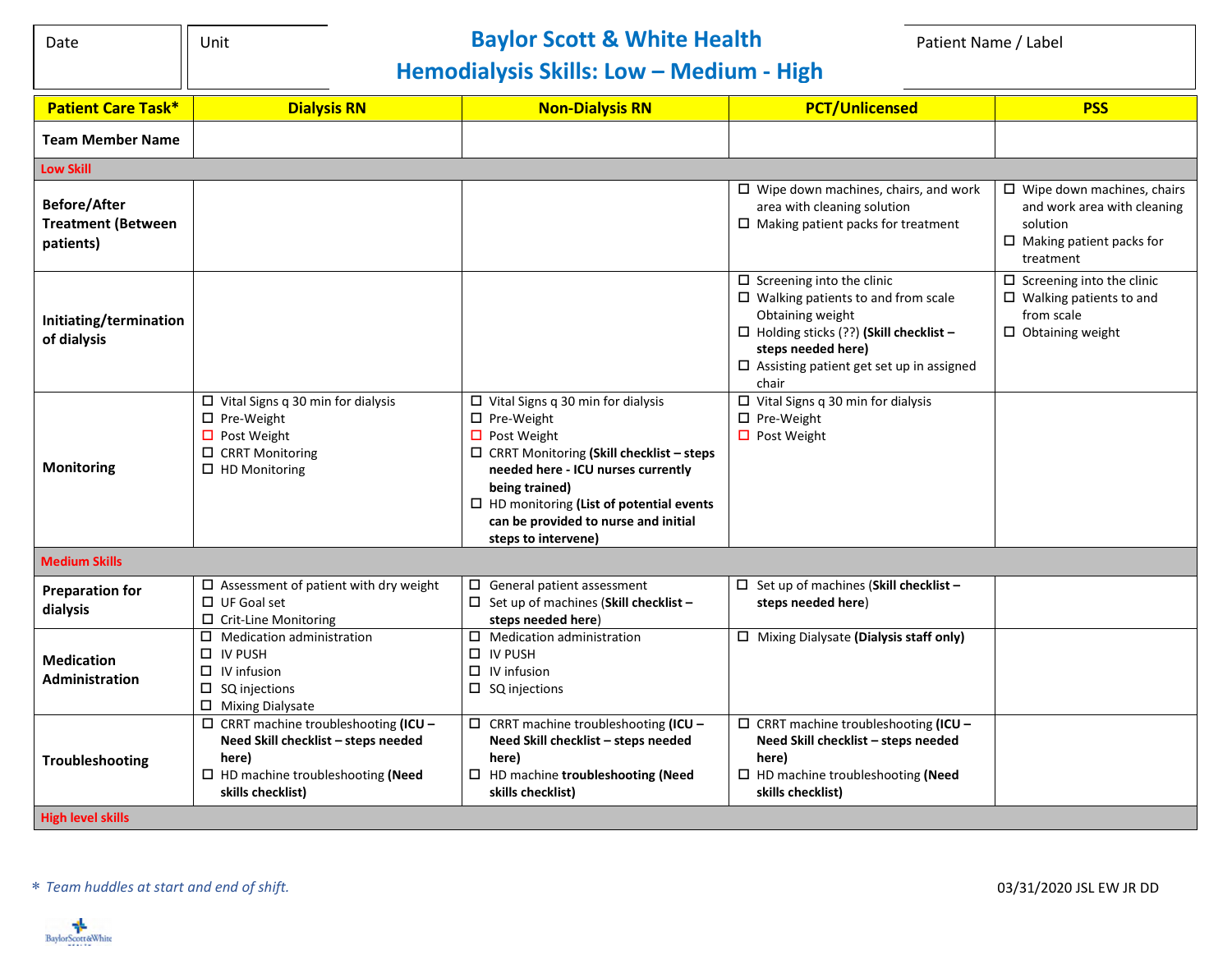| I<br>.,<br>v<br>×<br>×<br>×<br>۰. |
|-----------------------------------|
|-----------------------------------|

## Date **Notain Clubsish State Controller and Scott & White Health Patient Name / Label Patient Name / Label**

## **Hemodialysis Skills: Low – Medium - High**

| <b>Patient Care Task*</b>                                     | <b>Dialysis RN</b>                                                                                                                                         | <b>Non-Dialysis RN</b>                                                                                                                                                                                                                                                                                        | <b>PCT/Unlicensed</b>                                                                                                                                                                                                                   | <b>PSS</b>                                                                                                                   |  |  |  |
|---------------------------------------------------------------|------------------------------------------------------------------------------------------------------------------------------------------------------------|---------------------------------------------------------------------------------------------------------------------------------------------------------------------------------------------------------------------------------------------------------------------------------------------------------------|-----------------------------------------------------------------------------------------------------------------------------------------------------------------------------------------------------------------------------------------|------------------------------------------------------------------------------------------------------------------------------|--|--|--|
| <b>Team Member Name</b>                                       |                                                                                                                                                            |                                                                                                                                                                                                                                                                                                               |                                                                                                                                                                                                                                         |                                                                                                                              |  |  |  |
| <b>Low Skill</b>                                              |                                                                                                                                                            |                                                                                                                                                                                                                                                                                                               |                                                                                                                                                                                                                                         |                                                                                                                              |  |  |  |
| <b>Before/After</b><br><b>Treatment (Between</b><br>patients) |                                                                                                                                                            |                                                                                                                                                                                                                                                                                                               | $\Box$ Wipe down machines, chairs, and work<br>area with cleaning solution<br>$\Box$ Making patient packs for treatment                                                                                                                 | $\Box$ Wipe down machines, chairs<br>and work area with cleaning<br>solution<br>$\Box$ Making patient packs for<br>treatment |  |  |  |
| Initiating/termination<br>of dialysis                         |                                                                                                                                                            |                                                                                                                                                                                                                                                                                                               | $\Box$ Screening into the clinic<br>$\square$ Walking patients to and from scale<br>Obtaining weight<br>$\Box$ Holding sticks (??) (Skill checklist -<br>steps needed here)<br>$\Box$ Assisting patient get set up in assigned<br>chair | $\Box$ Screening into the clinic<br>$\Box$ Walking patients to and<br>from scale<br>$\Box$ Obtaining weight                  |  |  |  |
| <b>Monitoring</b>                                             | $\Box$ Vital Signs q 30 min for dialysis<br>$\Box$ Pre-Weight<br>$\Box$ Post Weight<br>$\Box$ CRRT Monitoring<br>$\Box$ HD Monitoring                      | $\Box$ Vital Signs q 30 min for dialysis<br>□ Pre-Weight<br>$\Box$ Post Weight<br>$\Box$ CRRT Monitoring (Skill checklist - steps<br>needed here - ICU nurses currently<br>being trained)<br>$\square$ HD monitoring (List of potential events<br>can be provided to nurse and initial<br>steps to intervene) | $\Box$ Vital Signs q 30 min for dialysis<br>$\square$ Pre-Weight<br>$\Box$ Post Weight                                                                                                                                                  |                                                                                                                              |  |  |  |
| <b>Medium Skills</b>                                          |                                                                                                                                                            |                                                                                                                                                                                                                                                                                                               |                                                                                                                                                                                                                                         |                                                                                                                              |  |  |  |
| <b>Preparation for</b><br>dialysis                            | $\square$ Assessment of patient with dry weight<br>$\Box$ UF Goal set<br>$\Box$ Crit-Line Monitoring                                                       | $\Box$ General patient assessment<br>$\Box$ Set up of machines (Skill checklist -<br>steps needed here)                                                                                                                                                                                                       | $\Box$ Set up of machines (Skill checklist -<br>steps needed here)                                                                                                                                                                      |                                                                                                                              |  |  |  |
| <b>Medication</b><br>Administration                           | $\Box$ Medication administration<br>$\Box$ IV PUSH<br>$\Box$ IV infusion<br>$\Box$ SQ injections<br>$\Box$ Mixing Dialysate                                | $\Box$ Medication administration<br>$\Box$ IV PUSH<br>$\Box$ IV infusion<br>$\Box$ SQ injections                                                                                                                                                                                                              | $\Box$ Mixing Dialysate (Dialysis staff only)                                                                                                                                                                                           |                                                                                                                              |  |  |  |
| Troubleshooting<br><b>High level skills</b>                   | $\Box$ CRRT machine troubleshooting (ICU -<br>Need Skill checklist - steps needed<br>here)<br>$\Box$ HD machine troubleshooting (Need<br>skills checklist) | $\Box$ CRRT machine troubleshooting (ICU -<br>Need Skill checklist - steps needed<br>here)<br>$\Box$ HD machine troubleshooting (Need<br>skills checklist)                                                                                                                                                    | $\Box$ CRRT machine troubleshooting (ICU -<br>Need Skill checklist - steps needed<br>here)<br>$\Box$ HD machine troubleshooting (Need<br>skills checklist)                                                                              |                                                                                                                              |  |  |  |
|                                                               |                                                                                                                                                            |                                                                                                                                                                                                                                                                                                               |                                                                                                                                                                                                                                         |                                                                                                                              |  |  |  |

*Team huddles at start and end of shift.* 03/31/2020 JSL EW JR DD